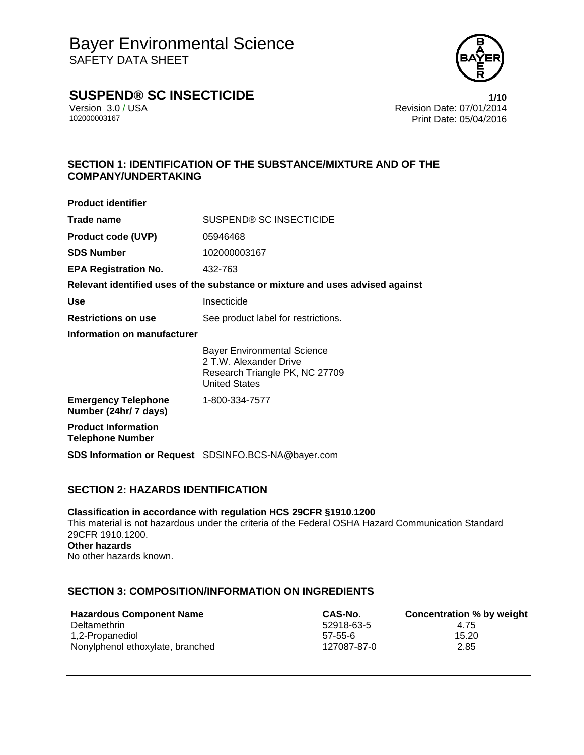

# **SUSPEND® SC INSECTICIDE 1/10**

Version 3.0 / USA **Version 3.0 / USA** Revision Date: 07/01/2014<br>10200003167 **Print Date: 05/04/2016** Print Date: 05/04/2016

## **SECTION 1: IDENTIFICATION OF THE SUBSTANCE/MIXTURE AND OF THE COMPANY/UNDERTAKING**

| <b>Product identifier</b>                             |                                                                                                                        |
|-------------------------------------------------------|------------------------------------------------------------------------------------------------------------------------|
| Trade name                                            | SUSPEND® SC INSECTICIDE                                                                                                |
| <b>Product code (UVP)</b>                             | 05946468                                                                                                               |
| <b>SDS Number</b>                                     | 102000003167                                                                                                           |
| <b>EPA Registration No.</b>                           | 432-763                                                                                                                |
|                                                       | Relevant identified uses of the substance or mixture and uses advised against                                          |
| Use                                                   | Insecticide                                                                                                            |
| <b>Restrictions on use</b>                            | See product label for restrictions.                                                                                    |
| Information on manufacturer                           |                                                                                                                        |
|                                                       | <b>Bayer Environmental Science</b><br>2 T.W. Alexander Drive<br>Research Triangle PK, NC 27709<br><b>United States</b> |
| <b>Emergency Telephone</b><br>Number (24hr/ 7 days)   | 1-800-334-7577                                                                                                         |
| <b>Product Information</b><br><b>Telephone Number</b> |                                                                                                                        |
|                                                       | <b>SDS Information or Request</b> SDSINFO.BCS-NA@bayer.com                                                             |

## **SECTION 2: HAZARDS IDENTIFICATION**

**Classification in accordance with regulation HCS 29CFR §1910.1200** This material is not hazardous under the criteria of the Federal OSHA Hazard Communication Standard 29CFR 1910.1200. **Other hazards** No other hazards known.

### **SECTION 3: COMPOSITION/INFORMATION ON INGREDIENTS**

| <b>Hazardous Component Name</b>  | CAS-No.     | Concentration % by weight |
|----------------------------------|-------------|---------------------------|
| Deltamethrin                     | 52918-63-5  | 4.75                      |
| 1,2-Propanediol                  | 57-55-6     | 15.20                     |
| Nonylphenol ethoxylate, branched | 127087-87-0 | 2.85                      |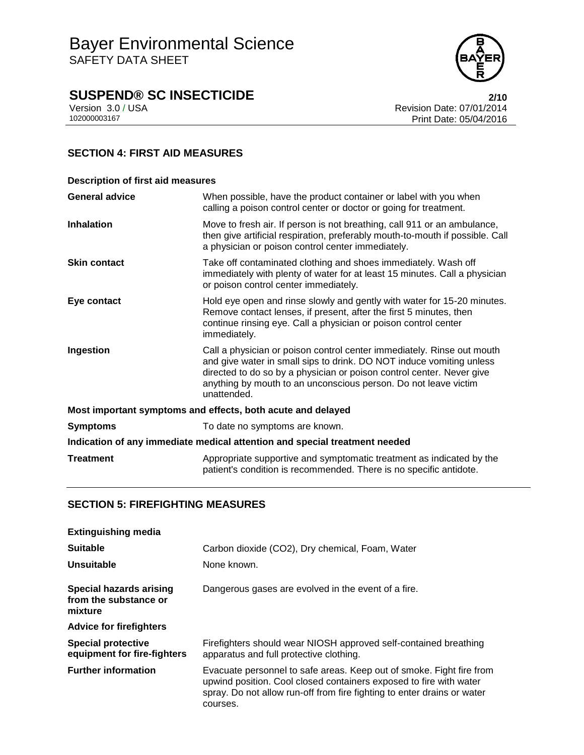

# **SUSPEND® SC INSECTICIDE**<br>Version 3.0 / USA **2/10**<br>Revision Date: 07/01/2014

Version 3.0 / USA **Revision Date: 07/01/2014**<br>102000003167<br>Print Date: 05/04/2016 Print Date: 05/04/2016

# **SECTION 4: FIRST AID MEASURES**

| <b>Description of first aid measures</b>                                   |                                                                                                                                                                                                                                                                                                           |  |
|----------------------------------------------------------------------------|-----------------------------------------------------------------------------------------------------------------------------------------------------------------------------------------------------------------------------------------------------------------------------------------------------------|--|
| <b>General advice</b>                                                      | When possible, have the product container or label with you when<br>calling a poison control center or doctor or going for treatment.                                                                                                                                                                     |  |
| <b>Inhalation</b>                                                          | Move to fresh air. If person is not breathing, call 911 or an ambulance,<br>then give artificial respiration, preferably mouth-to-mouth if possible. Call<br>a physician or poison control center immediately.                                                                                            |  |
| <b>Skin contact</b>                                                        | Take off contaminated clothing and shoes immediately. Wash off<br>immediately with plenty of water for at least 15 minutes. Call a physician<br>or poison control center immediately.                                                                                                                     |  |
| Eye contact                                                                | Hold eye open and rinse slowly and gently with water for 15-20 minutes.<br>Remove contact lenses, if present, after the first 5 minutes, then<br>continue rinsing eye. Call a physician or poison control center<br>immediately.                                                                          |  |
| Ingestion                                                                  | Call a physician or poison control center immediately. Rinse out mouth<br>and give water in small sips to drink. DO NOT induce vomiting unless<br>directed to do so by a physician or poison control center. Never give<br>anything by mouth to an unconscious person. Do not leave victim<br>unattended. |  |
| Most important symptoms and effects, both acute and delayed                |                                                                                                                                                                                                                                                                                                           |  |
| <b>Symptoms</b>                                                            | To date no symptoms are known.                                                                                                                                                                                                                                                                            |  |
| Indication of any immediate medical attention and special treatment needed |                                                                                                                                                                                                                                                                                                           |  |
| <b>Treatment</b>                                                           | Appropriate supportive and symptomatic treatment as indicated by the<br>patient's condition is recommended. There is no specific antidote.                                                                                                                                                                |  |

### **SECTION 5: FIREFIGHTING MEASURES**

| <b>Extinguishing media</b>                                  |                                                                                                                                                                                                                                   |
|-------------------------------------------------------------|-----------------------------------------------------------------------------------------------------------------------------------------------------------------------------------------------------------------------------------|
| <b>Suitable</b>                                             | Carbon dioxide (CO2), Dry chemical, Foam, Water                                                                                                                                                                                   |
| Unsuitable                                                  | None known.                                                                                                                                                                                                                       |
| Special hazards arising<br>from the substance or<br>mixture | Dangerous gases are evolved in the event of a fire.                                                                                                                                                                               |
| <b>Advice for firefighters</b>                              |                                                                                                                                                                                                                                   |
| <b>Special protective</b><br>equipment for fire-fighters    | Firefighters should wear NIOSH approved self-contained breathing<br>apparatus and full protective clothing.                                                                                                                       |
| <b>Further information</b>                                  | Evacuate personnel to safe areas. Keep out of smoke. Fight fire from<br>upwind position. Cool closed containers exposed to fire with water<br>spray. Do not allow run-off from fire fighting to enter drains or water<br>courses. |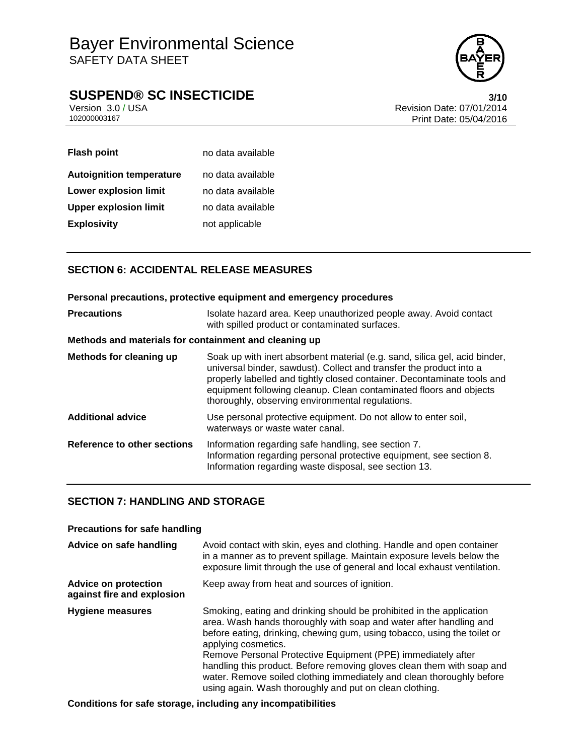

# **SUSPEND® SC INSECTICIDE**<br>Version 3.0 / USA **8/10**<br>Revision Date: 07/01/2014

Version 3.0 / USA **Version 3.0 / USA** Revision Date: 07/01/2014<br>10200003167 **Print Date: 05/04/2016** Print Date: 05/04/2016

| <b>Flash point</b>              | no data available |
|---------------------------------|-------------------|
| <b>Autoignition temperature</b> | no data available |
| Lower explosion limit           | no data available |
| <b>Upper explosion limit</b>    | no data available |
| <b>Explosivity</b>              | not applicable    |

# **SECTION 6: ACCIDENTAL RELEASE MEASURES**

| Personal precautions, protective equipment and emergency procedures |                                                                                                                                                                                                                                                                                                                                                        |  |
|---------------------------------------------------------------------|--------------------------------------------------------------------------------------------------------------------------------------------------------------------------------------------------------------------------------------------------------------------------------------------------------------------------------------------------------|--|
| <b>Precautions</b>                                                  | Isolate hazard area. Keep unauthorized people away. Avoid contact<br>with spilled product or contaminated surfaces.                                                                                                                                                                                                                                    |  |
| Methods and materials for containment and cleaning up               |                                                                                                                                                                                                                                                                                                                                                        |  |
| Methods for cleaning up                                             | Soak up with inert absorbent material (e.g. sand, silica gel, acid binder,<br>universal binder, sawdust). Collect and transfer the product into a<br>properly labelled and tightly closed container. Decontaminate tools and<br>equipment following cleanup. Clean contaminated floors and objects<br>thoroughly, observing environmental regulations. |  |
| <b>Additional advice</b>                                            | Use personal protective equipment. Do not allow to enter soil,<br>waterways or waste water canal.                                                                                                                                                                                                                                                      |  |
| <b>Reference to other sections</b>                                  | Information regarding safe handling, see section 7.<br>Information regarding personal protective equipment, see section 8.<br>Information regarding waste disposal, see section 13.                                                                                                                                                                    |  |

### **SECTION 7: HANDLING AND STORAGE**

| <b>Precautions for safe handling</b>                      |                                                                                                                                                                                                                                                                                                                                                                                                                                                                                                                             |  |
|-----------------------------------------------------------|-----------------------------------------------------------------------------------------------------------------------------------------------------------------------------------------------------------------------------------------------------------------------------------------------------------------------------------------------------------------------------------------------------------------------------------------------------------------------------------------------------------------------------|--|
| Advice on safe handling                                   | Avoid contact with skin, eyes and clothing. Handle and open container<br>in a manner as to prevent spillage. Maintain exposure levels below the<br>exposure limit through the use of general and local exhaust ventilation.                                                                                                                                                                                                                                                                                                 |  |
| <b>Advice on protection</b><br>against fire and explosion | Keep away from heat and sources of ignition.                                                                                                                                                                                                                                                                                                                                                                                                                                                                                |  |
| <b>Hygiene measures</b>                                   | Smoking, eating and drinking should be prohibited in the application<br>area. Wash hands thoroughly with soap and water after handling and<br>before eating, drinking, chewing gum, using tobacco, using the toilet or<br>applying cosmetics.<br>Remove Personal Protective Equipment (PPE) immediately after<br>handling this product. Before removing gloves clean them with soap and<br>water. Remove soiled clothing immediately and clean thoroughly before<br>using again. Wash thoroughly and put on clean clothing. |  |

**Conditions for safe storage, including any incompatibilities**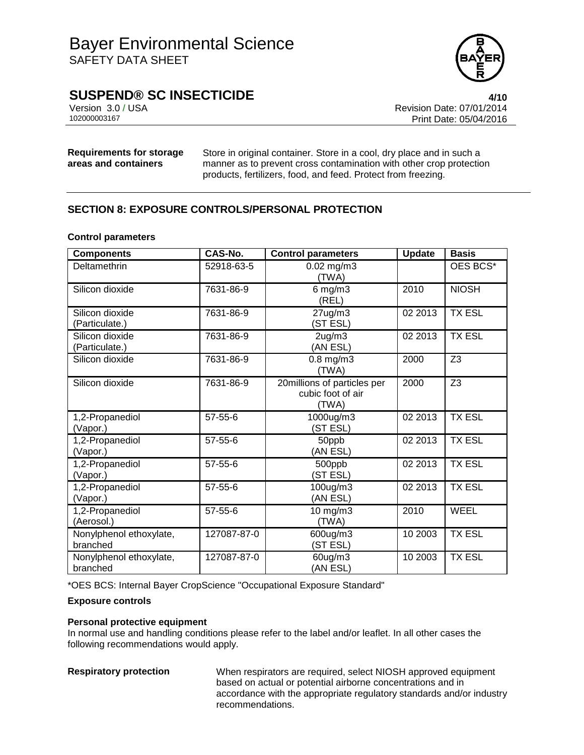

# **SUSPEND® SC INSECTICIDE 4/10**

Version 3.0 / USA **Version 3.0 / USA** Revision Date: 07/01/2014<br>10200003167 **Print Date: 05/04/2016** Print Date: 05/04/2016

**Requirements for storage areas and containers**

Store in original container. Store in a cool, dry place and in such a manner as to prevent cross contamination with other crop protection products, fertilizers, food, and feed. Protect from freezing.

## **SECTION 8: EXPOSURE CONTROLS/PERSONAL PROTECTION**

### **Control parameters**

| <b>Components</b>                   | CAS-No.       | <b>Control parameters</b>                                 | <b>Update</b> | <b>Basis</b>   |
|-------------------------------------|---------------|-----------------------------------------------------------|---------------|----------------|
| Deltamethrin                        | 52918-63-5    | $0.02$ mg/m $3$<br>(TWA)                                  |               | OES BCS*       |
| Silicon dioxide                     | 7631-86-9     | $6$ mg/m $3$<br>(REL)                                     | 2010          | <b>NIOSH</b>   |
| Silicon dioxide<br>(Particulate.)   | 7631-86-9     | $27$ ug/m $3$<br>(ST ESL)                                 | 02 2013       | <b>TX ESL</b>  |
| Silicon dioxide<br>(Particulate.)   | 7631-86-9     | $2$ ug/m $3$<br>(AN ESL)                                  | 02 2013       | <b>TX ESL</b>  |
| Silicon dioxide                     | 7631-86-9     | $0.8$ mg/m $3$<br>(TWA)                                   | 2000          | Z <sub>3</sub> |
| Silicon dioxide                     | 7631-86-9     | 20millions of particles per<br>cubic foot of air<br>(TWA) | 2000          | Z <sub>3</sub> |
| 1,2-Propanediol<br>(Vapor.)         | 57-55-6       | 1000ug/m3<br>(ST ESL)                                     | 02 2013       | <b>TX ESL</b>  |
| 1,2-Propanediol<br>(Vapor.)         | $57 - 55 - 6$ | 50ppb<br>(AN ESL)                                         | 02 2013       | <b>TX ESL</b>  |
| 1,2-Propanediol<br>(Vapor.)         | $57 - 55 - 6$ | 500ppb<br>(ST ESL)                                        | 02 2013       | <b>TX ESL</b>  |
| 1,2-Propanediol<br>(Vapor.)         | 57-55-6       | 100ug/m3<br>(AN ESL)                                      | 02 2013       | <b>TX ESL</b>  |
| 1,2-Propanediol<br>(Aerosol.)       | 57-55-6       | 10 mg/m3<br>(TWA)                                         | 2010          | <b>WEEL</b>    |
| Nonylphenol ethoxylate,<br>branched | 127087-87-0   | 600ug/m3<br>(ST ESL)                                      | 10 2003       | <b>TX ESL</b>  |
| Nonylphenol ethoxylate,<br>branched | 127087-87-0   | 60ug/m3<br>(AN ESL)                                       | 10 2003       | <b>TX ESL</b>  |

\*OES BCS: Internal Bayer CropScience "Occupational Exposure Standard"

### **Exposure controls**

### **Personal protective equipment**

In normal use and handling conditions please refer to the label and/or leaflet. In all other cases the following recommendations would apply.

**Respiratory protection** When respirators are required, select NIOSH approved equipment based on actual or potential airborne concentrations and in accordance with the appropriate regulatory standards and/or industry recommendations.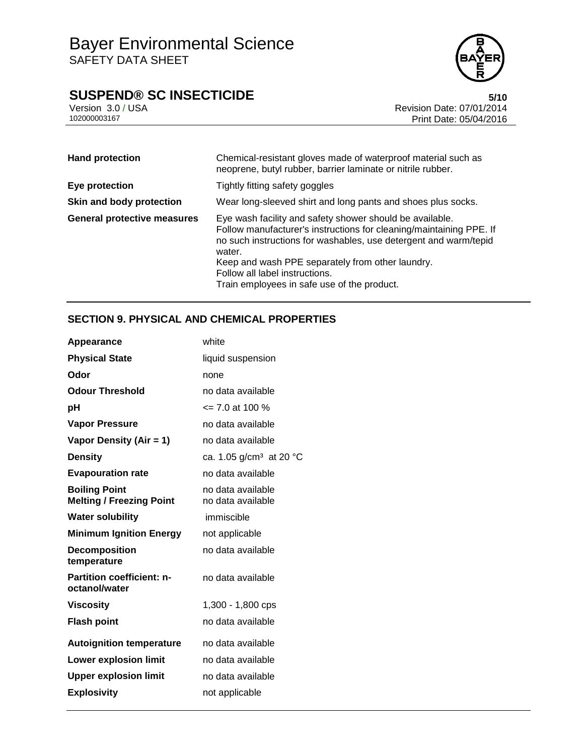# **SUSPEND® SC INSECTICIDE**<br>Version 3.0/USA **6/10**<br>Revision Date: 07/01/2014



Version 3.0 / USA Revision Date: 07/01/2014<br>10200003167 Print Date: 05/04/2016 Print Date: 05/04/2016

| <b>Hand protection</b>             | Chemical-resistant gloves made of waterproof material such as<br>neoprene, butyl rubber, barrier laminate or nitrile rubber.                                                                                                                                                                                                                       |
|------------------------------------|----------------------------------------------------------------------------------------------------------------------------------------------------------------------------------------------------------------------------------------------------------------------------------------------------------------------------------------------------|
| Eye protection                     | Tightly fitting safety goggles                                                                                                                                                                                                                                                                                                                     |
| Skin and body protection           | Wear long-sleeved shirt and long pants and shoes plus socks.                                                                                                                                                                                                                                                                                       |
| <b>General protective measures</b> | Eye wash facility and safety shower should be available.<br>Follow manufacturer's instructions for cleaning/maintaining PPE. If<br>no such instructions for washables, use detergent and warm/tepid<br>water.<br>Keep and wash PPE separately from other laundry.<br>Follow all label instructions.<br>Train employees in safe use of the product. |

# **SECTION 9. PHYSICAL AND CHEMICAL PROPERTIES**

| Appearance                                              | white                                  |
|---------------------------------------------------------|----------------------------------------|
| <b>Physical State</b>                                   | liquid suspension                      |
| Odor                                                    | none                                   |
| <b>Odour Threshold</b>                                  | no data available                      |
| рH                                                      | $\leq$ 7.0 at 100 %                    |
| <b>Vapor Pressure</b>                                   | no data available                      |
| Vapor Density (Air = 1)                                 | no data available                      |
| <b>Density</b>                                          | ca. 1.05 $g/cm^3$ at 20 °C             |
| <b>Evapouration rate</b>                                | no data available                      |
| <b>Boiling Point</b><br><b>Melting / Freezing Point</b> | no data available<br>no data available |
| <b>Water solubility</b>                                 | immiscible                             |
| <b>Minimum Ignition Energy</b>                          | not applicable                         |
| <b>Decomposition</b><br>temperature                     | no data available                      |
| <b>Partition coefficient: n-</b><br>octanol/water       | no data available                      |
| <b>Viscosity</b>                                        | 1,300 - 1,800 cps                      |
| <b>Flash point</b>                                      | no data available                      |
| <b>Autoignition temperature</b>                         | no data available                      |
| <b>Lower explosion limit</b>                            | no data available                      |
| <b>Upper explosion limit</b>                            | no data available                      |
| <b>Explosivity</b>                                      | not applicable                         |
|                                                         |                                        |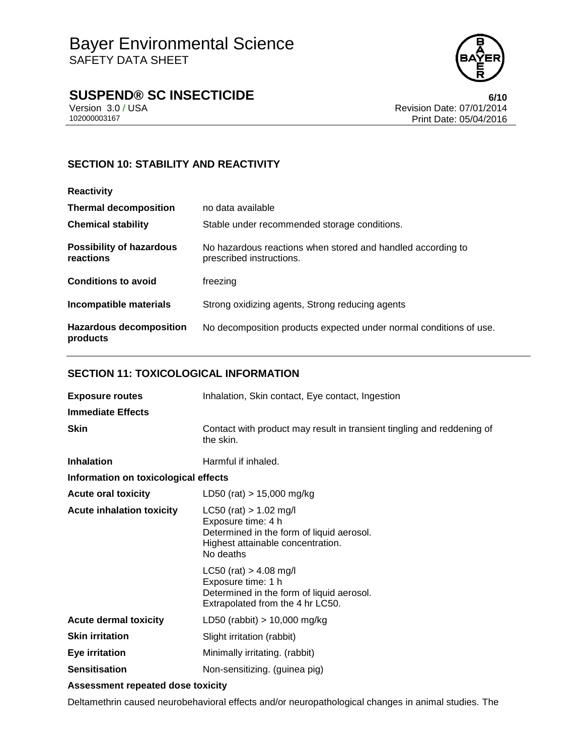

# **SUSPEND® SC INSECTICIDE**<br>Version 3.0/USA **by Case 100** Revision Date: 07/01/2014

Version 3.0 / USA **Version 3.0 / USA** Revision Date: 07/01/2014<br>10200003167 **Print Date: 05/04/2016** Print Date: 05/04/2016

## **SECTION 10: STABILITY AND REACTIVITY**

| <b>Reactivity</b>                            |                                                                                         |
|----------------------------------------------|-----------------------------------------------------------------------------------------|
| <b>Thermal decomposition</b>                 | no data available                                                                       |
| <b>Chemical stability</b>                    | Stable under recommended storage conditions.                                            |
| <b>Possibility of hazardous</b><br>reactions | No hazardous reactions when stored and handled according to<br>prescribed instructions. |
| <b>Conditions to avoid</b>                   | freezing                                                                                |
| Incompatible materials                       | Strong oxidizing agents, Strong reducing agents                                         |
| <b>Hazardous decomposition</b><br>products   | No decomposition products expected under normal conditions of use.                      |

### **SECTION 11: TOXICOLOGICAL INFORMATION**

| <b>Exposure routes</b>               | Inhalation, Skin contact, Eye contact, Ingestion                                                                                                |  |
|--------------------------------------|-------------------------------------------------------------------------------------------------------------------------------------------------|--|
| <b>Immediate Effects</b>             |                                                                                                                                                 |  |
| <b>Skin</b>                          | Contact with product may result in transient tingling and reddening of<br>the skin.                                                             |  |
| <b>Inhalation</b>                    | Harmful if inhaled.                                                                                                                             |  |
| Information on toxicological effects |                                                                                                                                                 |  |
| <b>Acute oral toxicity</b>           | LD50 (rat) $> 15,000$ mg/kg                                                                                                                     |  |
| <b>Acute inhalation toxicity</b>     | $LC50$ (rat) $> 1.02$ mg/l<br>Exposure time: 4 h<br>Determined in the form of liquid aerosol.<br>Highest attainable concentration.<br>No deaths |  |
|                                      | $LC50$ (rat) $> 4.08$ mg/l<br>Exposure time: 1 h<br>Determined in the form of liquid aerosol.<br>Extrapolated from the 4 hr LC50.               |  |
| <b>Acute dermal toxicity</b>         | LD50 (rabbit) $> 10,000$ mg/kg                                                                                                                  |  |
| <b>Skin irritation</b>               | Slight irritation (rabbit)                                                                                                                      |  |
| <b>Eye irritation</b>                | Minimally irritating. (rabbit)                                                                                                                  |  |
| <b>Sensitisation</b>                 | Non-sensitizing. (guinea pig)                                                                                                                   |  |
| Assessment repeated dose toxicity    |                                                                                                                                                 |  |

Deltamethrin caused neurobehavioral effects and/or neuropathological changes in animal studies. The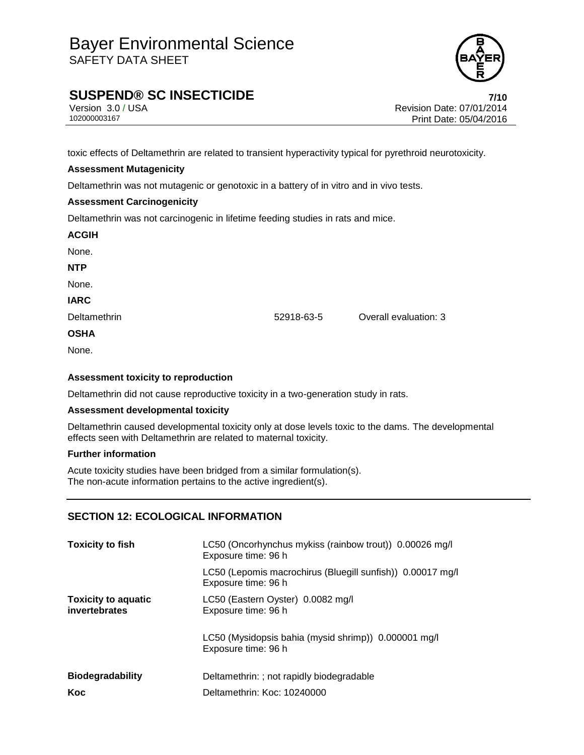

# **SUSPEND® SC INSECTICIDE 7/10**

Version 3.0 / USA Revision Date: 07/01/2014<br>102000003167<br>Print Date: 05/04/2016 Print Date: 05/04/2016

toxic effects of Deltamethrin are related to transient hyperactivity typical for pyrethroid neurotoxicity.

### **Assessment Mutagenicity**

Deltamethrin was not mutagenic or genotoxic in a battery of in vitro and in vivo tests.

### **Assessment Carcinogenicity**

Deltamethrin was not carcinogenic in lifetime feeding studies in rats and mice.

| <b>ACGIH</b> |  |
|--------------|--|
| None.        |  |
| <b>NTP</b>   |  |
| None.        |  |
| <b>IARC</b>  |  |
| Deltamethrin |  |
| <b>OSHA</b>  |  |
| None.        |  |
|              |  |

### **Assessment toxicity to reproduction**

Deltamethrin did not cause reproductive toxicity in a two-generation study in rats.

### **Assessment developmental toxicity**

Deltamethrin caused developmental toxicity only at dose levels toxic to the dams. The developmental effects seen with Deltamethrin are related to maternal toxicity.

52918-63-5 **Overall evaluation: 3** 

### **Further information**

Acute toxicity studies have been bridged from a similar formulation(s). The non-acute information pertains to the active ingredient(s).

### **SECTION 12: ECOLOGICAL INFORMATION**

| <b>Toxicity to fish</b>                     | LC50 (Oncorhynchus mykiss (rainbow trout)) 0.00026 mg/l<br>Exposure time: 96 h    |  |
|---------------------------------------------|-----------------------------------------------------------------------------------|--|
|                                             | LC50 (Lepomis macrochirus (Bluegill sunfish)) 0.00017 mg/l<br>Exposure time: 96 h |  |
| <b>Toxicity to aquatic</b><br>invertebrates | LC50 (Eastern Oyster) 0.0082 mg/l<br>Exposure time: 96 h                          |  |
|                                             | LC50 (Mysidopsis bahia (mysid shrimp)) 0.000001 mg/l<br>Exposure time: 96 h       |  |
| <b>Biodegradability</b>                     | Deltamethrin: ; not rapidly biodegradable                                         |  |
| Koc                                         | Deltamethrin: Koc: 10240000                                                       |  |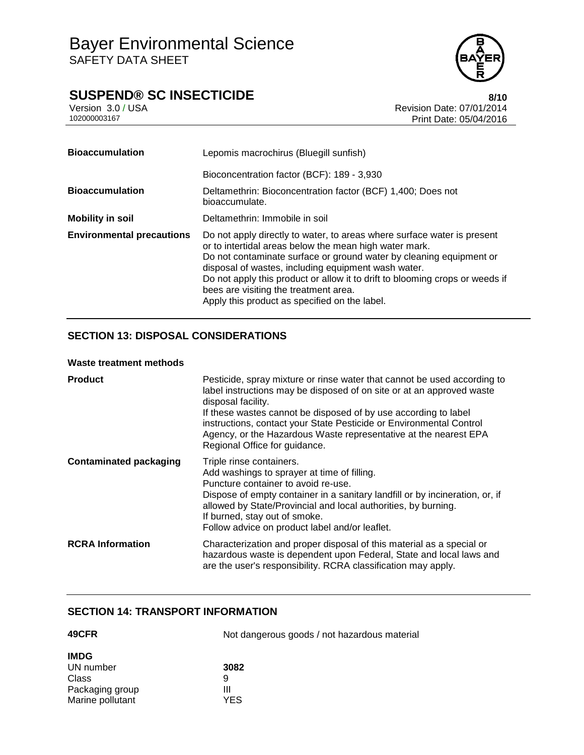# **SUSPEND® SC INSECTICIDE**<br>Version 3.0/USA **8/10**<br>Revision Date: 07/01/2014

Version 3.0 / USA **Version 3.0 / USA** Revision Date: 07/01/2014<br>10200003167 **Print Date: 05/04/2016** Print Date: 05/04/2016

| <b>Bioaccumulation</b>           | Lepomis macrochirus (Bluegill sunfish)                                                                                                                                                                                                                                                                                                                                                                                                    |  |
|----------------------------------|-------------------------------------------------------------------------------------------------------------------------------------------------------------------------------------------------------------------------------------------------------------------------------------------------------------------------------------------------------------------------------------------------------------------------------------------|--|
|                                  | Bioconcentration factor (BCF): 189 - 3,930                                                                                                                                                                                                                                                                                                                                                                                                |  |
| <b>Bioaccumulation</b>           | Deltamethrin: Bioconcentration factor (BCF) 1,400; Does not<br>bioaccumulate.                                                                                                                                                                                                                                                                                                                                                             |  |
| <b>Mobility in soil</b>          | Deltamethrin: Immobile in soil                                                                                                                                                                                                                                                                                                                                                                                                            |  |
| <b>Environmental precautions</b> | Do not apply directly to water, to areas where surface water is present<br>or to intertidal areas below the mean high water mark.<br>Do not contaminate surface or ground water by cleaning equipment or<br>disposal of wastes, including equipment wash water.<br>Do not apply this product or allow it to drift to blooming crops or weeds if<br>bees are visiting the treatment area.<br>Apply this product as specified on the label. |  |

## **SECTION 13: DISPOSAL CONSIDERATIONS**

### **Waste treatment methods**

| <b>Product</b>                | Pesticide, spray mixture or rinse water that cannot be used according to<br>label instructions may be disposed of on site or at an approved waste<br>disposal facility.<br>If these wastes cannot be disposed of by use according to label<br>instructions, contact your State Pesticide or Environmental Control<br>Agency, or the Hazardous Waste representative at the nearest EPA<br>Regional Office for guidance. |
|-------------------------------|------------------------------------------------------------------------------------------------------------------------------------------------------------------------------------------------------------------------------------------------------------------------------------------------------------------------------------------------------------------------------------------------------------------------|
| <b>Contaminated packaging</b> | Triple rinse containers.<br>Add washings to sprayer at time of filling.<br>Puncture container to avoid re-use.<br>Dispose of empty container in a sanitary landfill or by incineration, or, if<br>allowed by State/Provincial and local authorities, by burning.<br>If burned, stay out of smoke.<br>Follow advice on product label and/or leaflet.                                                                    |
| <b>RCRA</b> Information       | Characterization and proper disposal of this material as a special or<br>hazardous waste is dependent upon Federal, State and local laws and<br>are the user's responsibility. RCRA classification may apply.                                                                                                                                                                                                          |

### **SECTION 14: TRANSPORT INFORMATION**

| 49CFR            | Not dangerous goods / not hazardous material |
|------------------|----------------------------------------------|
| <b>IMDG</b>      |                                              |
| UN number        | 3082                                         |
| Class            | 9                                            |
| Packaging group  | Ш                                            |
| Marine pollutant | YES                                          |

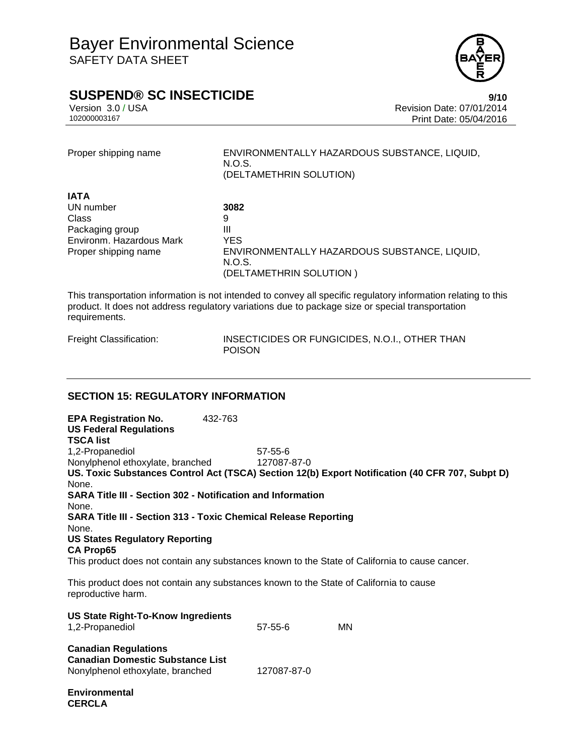

# **SUSPEND® SC INSECTICIDE 9/10**

Version 3.0 / USA **Version 3.0 / USA** Revision Date: 07/01/2014<br>10200003167 **Print Date: 05/04/2016** Print Date: 05/04/2016

Proper shipping name ENVIRONMENTALLY HAZARDOUS SUBSTANCE, LIQUID, N.O.S. (DELTAMETHRIN SOLUTION)

| <b>IATA</b>              |                                              |
|--------------------------|----------------------------------------------|
| UN number                | 3082                                         |
| Class                    | 9                                            |
| Packaging group          | Ш                                            |
| Environm. Hazardous Mark | YES                                          |
| Proper shipping name     | ENVIRONMENTALLY HAZARDOUS SUBSTANCE, LIQUID, |
|                          | N.O.S.                                       |
|                          | (DELTAMETHRIN SOLUTION)                      |

This transportation information is not intended to convey all specific regulatory information relating to this product. It does not address regulatory variations due to package size or special transportation requirements.

**CERCLA**

Freight Classification: INSECTICIDES OR FUNGICIDES, N.O.I., OTHER THAN POISON

### **SECTION 15: REGULATORY INFORMATION**

**EPA Registration No.** 432-763 **US Federal Regulations TSCA list** 1,2-Propanediol 57-55-6 Nonylphenol ethoxylate, branched 127087-87-0 **US. Toxic Substances Control Act (TSCA) Section 12(b) Export Notification (40 CFR 707, Subpt D)** None. **SARA Title III - Section 302 - Notification and Information** None. **SARA Title III - Section 313 - Toxic Chemical Release Reporting** None. **US States Regulatory Reporting CA Prop65** This product does not contain any substances known to the State of California to cause cancer. This product does not contain any substances known to the State of California to cause reproductive harm.

| <b>US State Right-To-Know Ingredients</b><br>1,2-Propanediol                                               | $57 - 55 - 6$ | MN |
|------------------------------------------------------------------------------------------------------------|---------------|----|
| <b>Canadian Regulations</b><br><b>Canadian Domestic Substance List</b><br>Nonylphenol ethoxylate, branched | 127087-87-0   |    |
| <b>Environmental</b>                                                                                       |               |    |